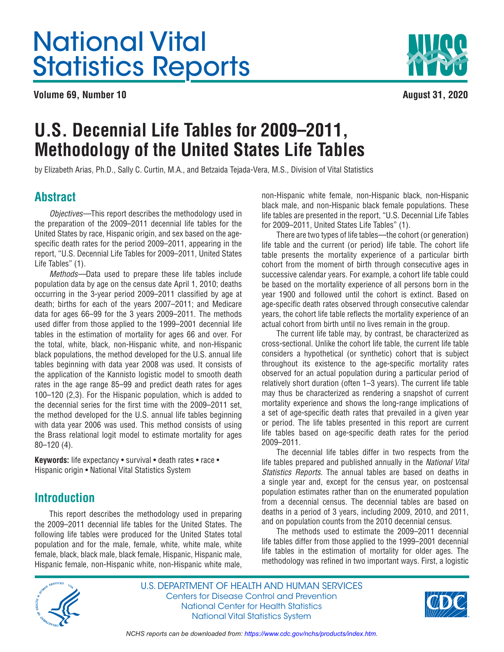# <span id="page-0-0"></span>National Vital Statistics Reports

**Volume 69, Number 10 August 31, 2020** 



# **U.S. Decennial Life Tables for 2009–2011, Methodology of the United States Life Tables**

by Elizabeth Arias, Ph.D., Sally C. Curtin, M.A., and Betzaida Tejada-Vera, M.S., Division of Vital Statistics

# **Abstract**

Objectives—This report describes the methodology used in the preparation of the 2009–2011 decennial life tables for the United States by race, Hispanic origin, and sex based on the agespecific death rates for the period 2009–2011, appearing in the report, "U.S. Decennial Life Tables for 2009–2011, United States Life Tables" (1).

Methods—Data used to prepare these life tables include population data by age on the census date April 1, 2010; deaths occurring in the 3-year period 2009–2011 classified by age at death; births for each of the years 2007–2011; and Medicare data for ages 66–99 for the 3 years 2009–2011. The methods used differ from those applied to the 1999–2001 decennial life tables in the estimation of mortality for ages 66 and over. For the total, white, black, non-Hispanic white, and non-Hispanic black populations, the method developed for the U.S. annual life tables beginning with data year 2008 was used. It consists of the application of the Kannisto logistic model to smooth death rates in the age range 85–99 and predict death rates for ages 100–120 (2,3). For the Hispanic population, which is added to the decennial series for the first time with the 2009–2011 set, the method developed for the U.S. annual life tables beginning with data year 2006 was used. This method consists of using the Brass relational logit model to estimate mortality for ages 80–120 (4).

**Keywords:** life expectancy • survival • death rates • race • Hispanic origin • National Vital Statistics System

# **Introduction**

This report describes the methodology used in preparing the 2009–2011 decennial life tables for the United States. The following life tables were produced for the United States total population and for the male, female, white, white male, white female, black, black male, black female, Hispanic, Hispanic male, Hispanic female, non-Hispanic white, non-Hispanic white male,

non-Hispanic white female, non-Hispanic black, non-Hispanic black male, and non-Hispanic black female populations. These life tables are presented in the report, "U.S. Decennial Life Tables for 2009–2011, United States Life Tables" (1).

There are two types of life tables—the cohort (or generation) life table and the current (or period) life table. The cohort life table presents the mortality experience of a particular birth cohort from the moment of birth through consecutive ages in successive calendar years. For example, a cohort life table could be based on the mortality experience of all persons born in the year 1900 and followed until the cohort is extinct. Based on age-specific death rates observed through consecutive calendar years, the cohort life table reflects the mortality experience of an actual cohort from birth until no lives remain in the group.

The current life table may, by contrast, be characterized as cross-sectional. Unlike the cohort life table, the current life table considers a hypothetical (or synthetic) cohort that is subject throughout its existence to the age-specific mortality rates observed for an actual population during a particular period of relatively short duration (often 1–3 years). The current life table may thus be characterized as rendering a snapshot of current mortality experience and shows the long-range implications of a set of age-specific death rates that prevailed in a given year or period. The life tables presented in this report are current life tables based on age-specific death rates for the period 2009–2011.

The decennial life tables differ in two respects from the life tables prepared and published annually in the National Vital Statistics Reports. The annual tables are based on deaths in a single year and, except for the census year, on postcensal population estimates rather than on the enumerated population from a decennial census. The decennial tables are based on deaths in a period of 3 years, including 2009, 2010, and 2011, and on population counts from the 2010 decennial census.

The methods used to estimate the 2009–2011 decennial life tables differ from those applied to the 1999–2001 decennial life tables in the estimation of mortality for older ages. The methodology was refined in two important ways. First, a logistic



U.S. DEPARTMENT OF HEALTH AND HUMAN SERVICES Centers for Disease Control and Prevention National Center for Health Statistics National Vital Statistics System

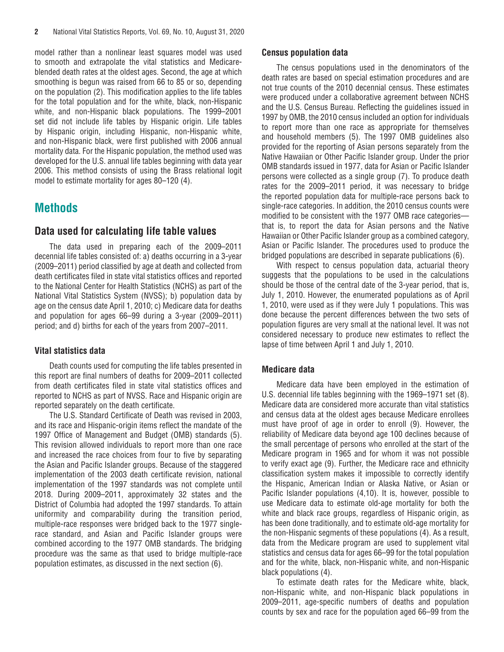<span id="page-1-0"></span>model rather than a nonlinear least squares model was used to smooth and extrapolate the vital statistics and Medicareblended death rates at the oldest ages. Second, the age at which smoothing is begun was raised from 66 to 85 or so, depending on the population (2). This modification applies to the life tables for the total population and for the white, black, non-Hispanic white, and non-Hispanic black populations. The 1999–2001 set did not include life tables by Hispanic origin. Life tables by Hispanic origin, including Hispanic, non-Hispanic white, and non-Hispanic black, were first published with 2006 annual mortality data. For the Hispanic population, the method used was developed for the U.S. annual life tables beginning with data year 2006. This method consists of using the Brass relational logit model to estimate mortality for ages 80–120 (4).

# **Methods**

# **Data used for calculating life table values**

The data used in preparing each of the 2009–2011 decennial life tables consisted of: a) deaths occurring in a 3-year (2009–2011) period classified by age at death and collected from death certificates filed in state vital statistics offices and reported to the National Center for Health Statistics (NCHS) as part of the National Vital Statistics System (NVSS); b) population data by age on the census date April 1, 2010; c) Medicare data for deaths and population for ages 66–99 during a 3-year (2009–2011) period; and d) births for each of the years from 2007–2011.

# **Vital statistics data**

Death counts used for computing the life tables presented in this report are final numbers of deaths for 2009–2011 collected from death certificates filed in state vital statistics offices and reported to NCHS as part of NVSS. Race and Hispanic origin are reported separately on the death certificate.

The U.S. Standard Certificate of Death was revised in 2003, and its race and Hispanic-origin items reflect the mandate of the 1997 Office of Management and Budget (OMB) standards (5). This revision allowed individuals to report more than one race and increased the race choices from four to five by separating the Asian and Pacific Islander groups. Because of the staggered implementation of the 2003 death certificate revision, national implementation of the 1997 standards was not complete until 2018. During 2009–2011, approximately 32 states and the District of Columbia had adopted the 1997 standards. To attain uniformity and comparability during the transition period, multiple-race responses were bridged back to the 1977 singlerace standard, and Asian and Pacific Islander groups were combined according to the 1977 OMB standards. The bridging procedure was the same as that used to bridge multiple-race population estimates, as discussed in the next section (6).

## **Census population data**

The census populations used in the denominators of the death rates are based on special estimation procedures and are not true counts of the 2010 decennial census. These estimates were produced under a collaborative agreement between NCHS and the U.S. Census Bureau. Reflecting the guidelines issued in 1997 by OMB, the 2010 census included an option for individuals to report more than one race as appropriate for themselves and household members (5). The 1997 OMB guidelines also provided for the reporting of Asian persons separately from the Native Hawaiian or Other Pacific Islander group. Under the prior OMB standards issued in 1977, data for Asian or Pacific Islander persons were collected as a single group (7). To produce death rates for the 2009–2011 period, it was necessary to bridge the reported population data for multiple-race persons back to single-race categories. In addition, the 2010 census counts were modified to be consistent with the 1977 OMB race categories that is, to report the data for Asian persons and the Native Hawaiian or Other Pacific Islander group as a combined category, Asian or Pacific Islander. The procedures used to produce the bridged populations are described in separate publications (6).

With respect to census population data, actuarial theory suggests that the populations to be used in the calculations should be those of the central date of the 3-year period, that is, July 1, 2010. However, the enumerated populations as of April 1, 2010, were used as if they were July 1 populations. This was done because the percent differences between the two sets of population figures are very small at the national level. It was not considered necessary to produce new estimates to reflect the lapse of time between April 1 and July 1, 2010.

# **Medicare data**

Medicare data have been employed in the estimation of U.S. decennial life tables beginning with the 1969–1971 set (8). Medicare data are considered more accurate than vital statistics and census data at the oldest ages because Medicare enrollees must have proof of age in order to enroll (9). However, the reliability of Medicare data beyond age 100 declines because of the small percentage of persons who enrolled at the start of the Medicare program in 1965 and for whom it was not possible to verify exact age (9). Further, the Medicare race and ethnicity classification system makes it impossible to correctly identify the Hispanic, American Indian or Alaska Native, or Asian or Pacific Islander populations (4,10). It is, however, possible to use Medicare data to estimate old-age mortality for both the white and black race groups, regardless of Hispanic origin, as has been done traditionally, and to estimate old-age mortality for the non-Hispanic segments of these populations (4). As a result, data from the Medicare program are used to supplement vital statistics and census data for ages 66–99 for the total population and for the white, black, non-Hispanic white, and non-Hispanic black populations (4).

To estimate death rates for the Medicare white, black, non-Hispanic white, and non-Hispanic black populations in 2009–2011, age-specific numbers of deaths and population counts by sex and race for the population aged 66–99 from the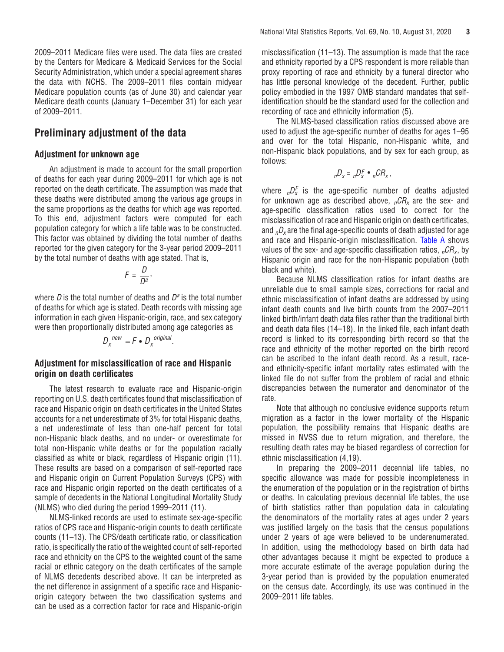<span id="page-2-0"></span>2009–2011 Medicare files were used. The data files are created by the Centers for Medicare & Medicaid Services for the Social Security Administration, which under a special agreement shares the data with NCHS. The 2009–2011 files contain midyear Medicare population counts (as of June 30) and calendar year Medicare death counts (January 1–December 31) for each year of 2009–2011.

# **Preliminary adjustment of the data**

# **Adjustment for unknown age**

An adjustment is made to account for the small proportion of deaths for each year during 2009–2011 for which age is not reported on the death certificate. The assumption was made that these deaths were distributed among the various age groups in the same proportions as the deaths for which age was reported. To this end, adjustment factors were computed for each population category for which a life table was to be constructed. This factor was obtained by dividing the total number of deaths reported for the given category for the 3-year period 2009–2011 by the total number of deaths with age stated. That is,

$$
F=\frac{D}{D^a},
$$

where  $D$  is the total number of deaths and  $D^a$  is the total number of deaths for which age is stated. Death records with missing age information in each given Hispanic-origin, race, and sex category were then proportionally distributed among age categories as

$$
D_x^{new} = F \bullet D_x^{original}.
$$

# **Adjustment for misclassification of race and Hispanic origin on death certificates**

The latest research to evaluate race and Hispanic-origin reporting on U.S. death certificates found that misclassification of race and Hispanic origin on death certificates in the United States accounts for a net underestimate of 3% for total Hispanic deaths, a net underestimate of less than one-half percent for total non-Hispanic black deaths, and no under- or overestimate for total non-Hispanic white deaths or for the population racially classified as white or black, regardless of Hispanic origin (11). These results are based on a comparison of self-reported race and Hispanic origin on Current Population Surveys (CPS) with race and Hispanic origin reported on the death certificates of a sample of decedents in the National Longitudinal Mortality Study (NLMS) who died during the period 1999–2011 (11).

NLMS-linked records are used to estimate sex-age-specific ratios of CPS race and Hispanic-origin counts to death certificate counts (11–13). The CPS/death certificate ratio, or classification ratio, is specifically the ratio of the weighted count of self-reported race and ethnicity on the CPS to the weighted count of the same racial or ethnic category on the death certificates of the sample of NLMS decedents described above. It can be interpreted as the net difference in assignment of a specific race and Hispanicorigin category between the two classification systems and can be used as a correction factor for race and Hispanic-origin

misclassification (11–13). The assumption is made that the race and ethnicity reported by a CPS respondent is more reliable than proxy reporting of race and ethnicity by a funeral director who has little personal knowledge of the decedent. Further, public policy embodied in the 1997 OMB standard mandates that selfidentification should be the standard used for the collection and recording of race and ethnicity information (5).

The NLMS-based classification ratios discussed above are used to adjust the age-specific number of deaths for ages 1–95 and over for the total Hispanic, non-Hispanic white, and non-Hispanic black populations, and by sex for each group, as follows:

$$
{}_{n}D_{x} = {}_{n}D_{x}^{F} \bullet {}_{n}CR_{x},
$$

where  ${}_{n}D_{x}^{F}$  is the age-specific number of deaths adjusted for unknown age as described above,  $nCR_x$  are the sex- and age-specific classification ratios used to correct for the misclassification of race and Hispanic origin on death certificates, and  $nD_x$  are the final age-specific counts of death adjusted for age and race and Hispanic-origin misclassification. [Table A](#page-3-0) shows values of the sex- and age-specific classification ratios,  ${}_{n}CR_{x}$ , by Hispanic origin and race for the non-Hispanic population (both black and white).

Because NLMS classification ratios for infant deaths are unreliable due to small sample sizes, corrections for racial and ethnic misclassification of infant deaths are addressed by using infant death counts and live birth counts from the 2007–2011 linked birth/infant death data files rather than the traditional birth and death data files (14–18). In the linked file, each infant death record is linked to its corresponding birth record so that the race and ethnicity of the mother reported on the birth record can be ascribed to the infant death record. As a result, raceand ethnicity-specific infant mortality rates estimated with the linked file do not suffer from the problem of racial and ethnic discrepancies between the numerator and denominator of the rate.

Note that although no conclusive evidence supports return migration as a factor in the lower mortality of the Hispanic population, the possibility remains that Hispanic deaths are missed in NVSS due to return migration, and therefore, the resulting death rates may be biased regardless of correction for ethnic misclassification (4,19).

In preparing the 2009–2011 decennial life tables, no specific allowance was made for possible incompleteness in the enumeration of the population or in the registration of births or deaths. In calculating previous decennial life tables, the use of birth statistics rather than population data in calculating the denominators of the mortality rates at ages under 2 years was justified largely on the basis that the census populations under 2 years of age were believed to be underenumerated. In addition, using the methodology based on birth data had other advantages because it might be expected to produce a more accurate estimate of the average population during the 3-year period than is provided by the population enumerated on the census date. Accordingly, its use was continued in the 2009–2011 life tables.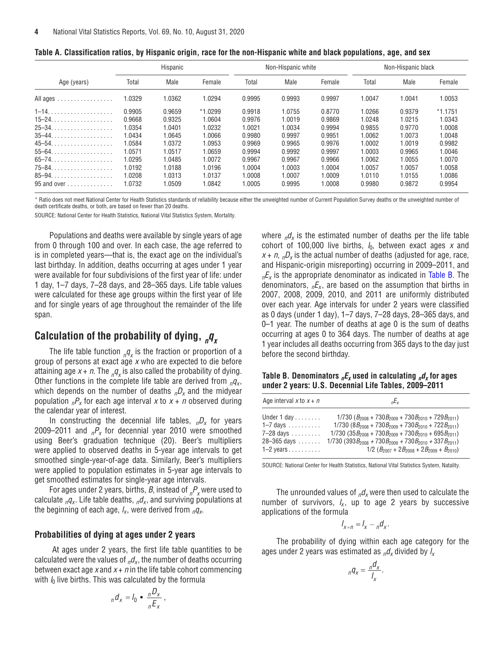<span id="page-3-0"></span>

| Table A. Classification ratios, by Hispanic origin, race for the non-Hispanic white and black populations, age, and sex |  |  |  |  |
|-------------------------------------------------------------------------------------------------------------------------|--|--|--|--|
|-------------------------------------------------------------------------------------------------------------------------|--|--|--|--|

|                                               | Hispanic |        |           |        | Non-Hispanic white |        | Non-Hispanic black |        |           |
|-----------------------------------------------|----------|--------|-----------|--------|--------------------|--------|--------------------|--------|-----------|
| Age (years)                                   | Total    | Male   | Female    | Total  | Male               | Female | Total              | Male   | Female    |
| All ages                                      | 1.0329   | 1.0362 | 1.0294    | 0.9995 | 0.9993             | 0.9997 | 1.0047             | 1.0041 | 1.0053    |
| $1-14.$                                       | 0.9905   | 0.9659 | $*1.0299$ | 0.9918 | 1.0755             | 0.8770 | 1.0266             | 0.9379 | $*1.1751$ |
| $15-24.$                                      | 0.9668   | 0.9325 | 1.0604    | 0.9976 | 1.0019             | 0.9869 | 1.0248             | 1.0215 | 1.0343    |
| $25 - 34. \ldots \ldots \ldots \ldots \ldots$ | 1.0354   | 1.0401 | 1.0232    | 1.0021 | 1.0034             | 0.9994 | 0.9855             | 0.9770 | 1.0008    |
| $35 - 44$                                     | 1.0434   | 1.0645 | 1.0066    | 0.9980 | 0.9997             | 0.9951 | 1.0062             | 1.0073 | 1.0048    |
| $45 - 54$                                     | .0584    | 1.0372 | 1.0953    | 0.9969 | 0.9965             | 0.9976 | 1.0002             | 1.0019 | 0.9982    |
| $55 - 64$ .<br>.                              | 1.0571   | 1.0517 | 1.0659    | 0.9994 | 0.9992             | 0.9997 | 1.0003             | 0.9965 | 1.0046    |
| $65 - 74$                                     | 1.0295   | 1.0485 | 1.0072    | 0.9967 | 0.9967             | 0.9966 | 1.0062             | 1.0055 | 1.0070    |
| 75–84.                                        | 1.0192   | 1.0188 | 1.0196    | 1.0004 | 1.0003             | 1.0004 | 1.0057             | 1.0057 | 1.0058    |
| $85 - 94. \ldots \ldots \ldots \ldots \ldots$ | 1.0208   | 1.0313 | 1.0137    | 1.0008 | 1.0007             | 1.0009 | 1.0110             | 1.0155 | 1.0086    |
| $95$ and over $\dots$ , $\dots$               | 1.0732   | .0509  | 1.0842    | 1.0005 | 0.9995             | 0008   | 0.9980             | 0.9872 | 0.9954    |

\* Ratio does not meet National Center for Health Statistics standards of reliability because either the unweighted number of Current Population Survey deaths or the unweighted number of death certificate deaths, or both, are based on fewer than 20 deaths.

SOURCE: National Center for Health Statistics, National Vital Statistics System, Mortality.

Populations and deaths were available by single years of age from 0 through 100 and over. In each case, the age referred to is in completed years—that is, the exact age on the individual's last birthday. In addition, deaths occurring at ages under 1 year were available for four subdivisions of the first year of life: under 1 day, 1–7 days, 7–28 days, and 28–365 days. Life table values were calculated for these age groups within the first year of life and for single years of age throughout the remainder of the life span.

# Calculation of the probability of dying,  $_n q_{\chi}$

The life table function  ${}_{n}q_{x}$  is the fraction or proportion of a group of persons at exact  $\frac{\partial^2 u}{\partial x \partial y}$  are expected to die before attaining age  $x + n$ . The  ${}_{n}q_{x}$  is also called the probability of dying. Other functions in the complete life table are derived from  $_qq_x$ , which depends on the number of deaths  $nD_x$  and the midyear population  $nP_X$  for each age interval x to  $x + n$  observed during the calendar year of interest.

In constructing the decennial life tables,  $D_x$  for years 2009–2011 and  ${}_{n}P_{x}$  for decennial year 2010 were smoothed using Beer's graduation technique (20). Beer's multipliers were applied to observed deaths in 5-year age intervals to get smoothed single-year-of-age data. Similarly, Beer's multipliers were applied to population estimates in 5-year age intervals to get smoothed estimates for single-year age intervals.

For ages under 2 years, births, *B*, instead of  ${}_{n}P_{x}$  were used to calculate  $_{n}q_{x}$ . Life table deaths,  $_{n}d_{x}$ , and surviving populations at the beginning of each age,  $l_x$ , were derived from  $q_x$ .

## **Probabilities of dying at ages under 2 years**

 At ages under 2 years, the first life table quantities to be calculated were the values of  $n/dx$ , the number of deaths occurring between exact age x and  $x + n$  in the life table cohort commencing with  $l_0$  live births. This was calculated by the formula

$$
{}_{n}d_{x} = I_{0} \bullet \frac{ }{n} \frac{D_{x}}{E_{x}} \,,
$$

where  $n/d_x$  is the estimated number of deaths per the life table cohort of 100,000 live births,  $l_0$ , between exact ages x and  $x + n$ ,  $D_x$  is the actual number of deaths (adjusted for age, race, and Hispanic-origin misreporting) occurring in 2009–2011, and  $nE_x$  is the appropriate denominator as indicated in Table B. The denominators,  ${}_{n}E_{x}$ , are based on the assumption that births in 2007, 2008, 2009, 2010, and 2011 are uniformly distributed over each year. Age intervals for under 2 years were classified as 0 days (under 1 day), 1–7 days, 7–28 days, 28–365 days, and 0–1 year. The number of deaths at age 0 is the sum of deaths occurring at ages 0 to 364 days. The number of deaths at age 1 year includes all deaths occurring from 365 days to the day just before the second birthday.

**Table B. Denominators**  $nE_x$  used in calculating  $n\frac{d}{dx}$  for ages **under 2 years: U.S. Decennial Life Tables, 2009–2011**

| Age interval x to $x + n$     | nE <sub>x</sub>                                                              |
|-------------------------------|------------------------------------------------------------------------------|
| Under $1$ day $\ldots \ldots$ | $1/730 (B_{2008} + 730B_{2009} + 730B_{2010} + 729B_{2011})$                 |
| $1-7$ days                    | $1/730 (8B_{2008} + 730B_{2009} + 730B_{2010} + 722B_{2011})$                |
| $7-28$ days                   | $1/730$ (35 $B_{2008}$ + 730 $B_{2009}$ + 730 $B_{2010}$ + 695 $B_{2011}$ )  |
| $28 - 365$ days               | $1/730$ (393 $B_{2008}$ + 730 $B_{2009}$ + 730 $B_{2010}$ + 337 $B_{2011}$ ) |
| $1-2$ years                   | $1/2 (B_{2007} + 2B_{2008} + 2B_{2009} + B_{2010})$                          |

SOURCE: National Center for Health Statistics, National Vital Statistics System, Natality.

The unrounded values of  $_{n}d_{x}$  were then used to calculate the number of survivors,  $l_x$ , up to age 2 years by successive applications of the formula

$$
I_{x+n} = I_x - {}_n d_x.
$$

The probability of dying within each age category for the ages under 2 years was estimated as  $n/d_x$  divided by  $l_x$ 

$$
{}_{n}q_{x}=\frac{nq_{x}}{I_{x}}.
$$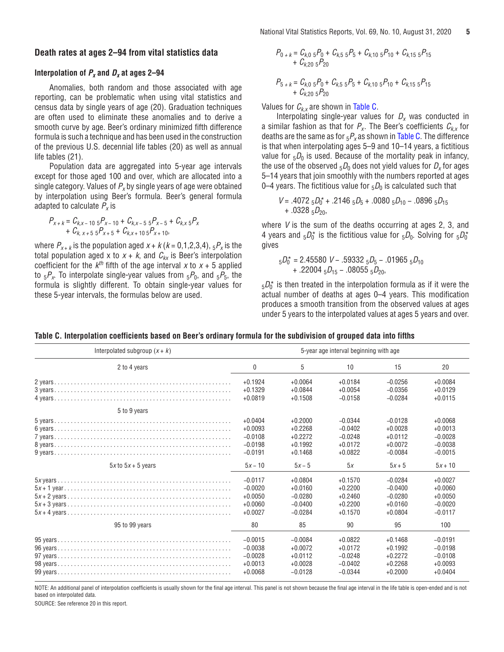### **Death rates at ages 2–94 from vital statistics data**

# **Interpolation of**  $P_x$  **and**  $D_x$  **at ages 2–94**

Anomalies, both random and those associated with age reporting, can be problematic when using vital statistics and census data by single years of age (20). Graduation techniques are often used to eliminate these anomalies and to derive a smooth curve by age. Beer's ordinary minimized fifth difference formula is such a technique and has been used in the construction of the previous U.S. decennial life tables (20) as well as annual life tables (21).

Population data are aggregated into 5-year age intervals except for those aged 100 and over, which are allocated into a single category. Values of  $P_x$  by single years of age were obtained by interpolation using Beer's formula. Beer's general formula adapted to calculate  $P_x$  is

$$
P_{X+k} = C_{k,x-10} 5P_{X-10} + C_{k,x-5} 5P_{X-5} + C_{k,x} 5P_{X}
$$
  
+ C\_{k,x+5} 5P\_{X+5} + C\_{k,x+10} 5P\_{X+10},

where  $P_{x+k}$  is the population aged  $x+k$  ( $k = 0,1,2,3,4$ ),  $5P_x$  is the total population aged x to  $x + k$ , and  $C_{kx}$  is Beer's interpolation coefficient for the  $k^{th}$  fifth of the age interval x to  $x + 5$  applied to  $5P_x$ . To interpolate single-year values from  $5P_0$ , and  $5P_5$ , the formula is slightly different. To obtain single-year values for these 5-year intervals, the formulas below are used.

$$
P_{0+k} = C_{k,0} 5P_0 + C_{k,5} 5P_5 + C_{k,10} 5P_{10} + C_{k,15} 5P_{15}
$$
  
+  $C_{k,20} 5P_{20}$   

$$
P_{5+k} = C_{k,0} 5P_0 + C_{k,5} 5P_5 + C_{k,10} 5P_{10} + C_{k,15} 5P_{15}
$$

Values for  $C_{k,x}$  are shown in Table C.

+  $C_{k,20,5}P_{20}$ 

Interpolating single-year values for  $D_x$  was conducted in a similar fashion as that for  $P_x$ . The Beer's coefficients  $C_{k,x}$  for deaths are the same as for  $5P_x$  as shown in Table C. The difference is that when interpolating ages 5–9 and 10–14 years, a fictitious value for  $5D_0$  is used. Because of the mortality peak in infancy, the use of the observed  $_5D_0$  does not yield values for  $D_x$  for ages 5–14 years that join smoothly with the numbers reported at ages 0–4 years. The fictitious value for  $5D_0$  is calculated such that

$$
V = .40725_{0}D_{0}^{*} + .21465_{}D_{5} + .00805_{}D_{10} - .08965_{}D_{15} + .03285_{}D_{20},
$$

where V is the sum of the deaths occurring at ages 2, 3, and 4 years and  $_5D_0^*$  is the fictitious value for  $_5D_0$ . Solving for  $_5D_0^*$ gives

$$
{}_{5}D_{0}^{*} = 2.45580 \ V - .59332 \ {}_{5}D_{5} - .01965 \ {}_{5}D_{10} + .22004 \ {}_{5}D_{15} - .08055 \ {}_{5}D_{20},
$$

 $_5\mathit{D}_0^{\star}$  is then treated in the interpolation formula as if it were the actual number of deaths at ages 0–4 years. This modification produces a smooth transition from the observed values at ages under 5 years to the interpolated values at ages 5 years and over.

| Interpolated subgroup $(x + k)$ |                                                               |                                                               | 5-year age interval beginning with age                        |                                                               |                                                               |
|---------------------------------|---------------------------------------------------------------|---------------------------------------------------------------|---------------------------------------------------------------|---------------------------------------------------------------|---------------------------------------------------------------|
| 2 to 4 years                    | 0                                                             | 5                                                             | 10                                                            | 15                                                            | 20                                                            |
|                                 | $+0.1924$                                                     | $+0.0064$                                                     | $+0.0184$                                                     | $-0.0256$                                                     | $+0.0084$                                                     |
|                                 | $+0.1329$                                                     | $+0.0844$                                                     | $+0.0054$                                                     | $-0.0356$                                                     | $+0.0129$                                                     |
|                                 | $+0.0819$                                                     | $+0.1508$                                                     | $-0.0158$                                                     | $-0.0284$                                                     | $+0.0115$                                                     |
| 5 to 9 years                    | $+0.0404$<br>$+0.0093$<br>$-0.0108$<br>$-0.0198$<br>$-0.0191$ | $+0.2000$<br>$+0.2268$<br>$+0.2272$<br>$+0.1992$<br>$+0.1468$ | $-0.0344$<br>$-0.0402$<br>$-0.0248$<br>$+0.0172$<br>$+0.0822$ | $-0.0128$<br>$+0.0028$<br>$+0.0112$<br>$+0.0072$<br>$-0.0084$ | $+0.0068$<br>$+0.0013$<br>$-0.0028$<br>$-0.0038$<br>$-0.0015$ |
| $5x$ to $5x + 5$ years          | $5x - 10$                                                     | $5x - 5$                                                      | 5x                                                            | $5x + 5$                                                      | $5x + 10$                                                     |
|                                 | $-0.0117$                                                     | $+0.0804$                                                     | $+0.1570$                                                     | $-0.0284$                                                     | $+0.0027$                                                     |
|                                 | $-0.0020$                                                     | $+0.0160$                                                     | $+0.2200$                                                     | $-0.0400$                                                     | $+0.0060$                                                     |
|                                 | $+0.0050$                                                     | $-0.0280$                                                     | $+0.2460$                                                     | $-0.0280$                                                     | $+0.0050$                                                     |
|                                 | $+0.0060$                                                     | $-0.0400$                                                     | $+0.2200$                                                     | $+0.0160$                                                     | $-0.0020$                                                     |
|                                 | $+0.0027$                                                     | $-0.0284$                                                     | $+0.1570$                                                     | $+0.0804$                                                     | $-0.0117$                                                     |
| 95 to 99 years                  | 80                                                            | 85                                                            | 90                                                            | 95                                                            | 100                                                           |
|                                 | $-0.0015$                                                     | $-0.0084$                                                     | $+0.0822$                                                     | $+0.1468$                                                     | $-0.0191$                                                     |
|                                 | $-0.0038$                                                     | $+0.0072$                                                     | $+0.0172$                                                     | $+0.1992$                                                     | $-0.0198$                                                     |
|                                 | $-0.0028$                                                     | $+0.0112$                                                     | $-0.0248$                                                     | $+0.2272$                                                     | $-0.0108$                                                     |
|                                 | $+0.0013$                                                     | $+0.0028$                                                     | $-0.0402$                                                     | $+0.2268$                                                     | $+0.0093$                                                     |
|                                 | $+0.0068$                                                     | $-0.0128$                                                     | $-0.0344$                                                     | $+0.2000$                                                     | $+0.0404$                                                     |

**Table C. Interpolation coefficients based on Beer's ordinary formula for the subdivision of grouped data into fifths**

NOTE: An additional panel of interpolation coefficients is usually shown for the final age interval. This panel is not shown because the final age interval in the life table is open-ended and is not based on interpolated data.

SOURCE: See reference 20 in this report.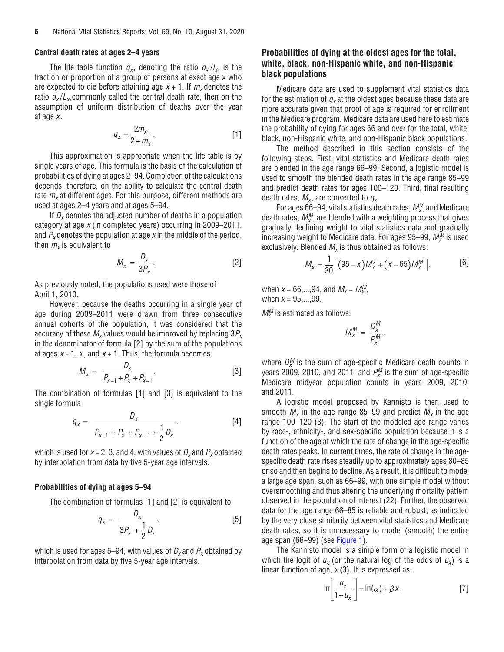### **Central death rates at ages 2–4 years**

The life table function  $q_x$ , denoting the ratio  $d_x / l_x$ , is the fraction or proportion of a group of persons at exact age x who are expected to die before attaining age  $x + 1$ . If  $m<sub>x</sub>$  denotes the ratio  $d_x/L_x$ , commonly called the central death rate, then on the assumption of uniform distribution of deaths over the year at age  $x$ ,

$$
q_x = \frac{2m_x}{2 + m_x}.\tag{1}
$$

This approximation is appropriate when the life table is by single years of age. This formula is the basis of the calculation of probabilities of dying at ages 2–94. Completion of the calculations depends, therefore, on the ability to calculate the central death rate  $m<sub>x</sub>$  at different ages. For this purpose, different methods are used at ages 2–4 years and at ages 5–94.

If  $D<sub>x</sub>$  denotes the adjusted number of deaths in a population category at age x (in completed years) occurring in 2009–2011, and  $P_{x}$  denotes the population at age x in the middle of the period, then  $m<sub>x</sub>$  is equivalent to

$$
M_x = \frac{D_x}{3P_x}.\t\t[2]
$$

As previously noted, the populations used were those of April 1, 2010.

However, because the deaths occurring in a single year of age during 2009–2011 were drawn from three consecutive annual cohorts of the population, it was considered that the accuracy of these  $M_x$  values would be improved by replacing  $3P_x$ in the denominator of formula [2] by the sum of the populations at ages  $x - 1$ , x, and  $x + 1$ . Thus, the formula becomes

$$
M_x = \frac{D_x}{P_{x-1} + P_x + P_{x+1}}.
$$
 [3]

The combination of formulas [1] and [3] is equivalent to the single formula

$$
q_{x} = \frac{D_{x}}{P_{x-1} + P_{x} + P_{x+1} + \frac{1}{2}D_{x}},
$$
 [4]

which is used for  $x = 2$ , 3, and 4, with values of  $D_x$  and  $P_x$  obtained by interpolation from data by five 5-year age intervals.

### **Probabilities of dying at ages 5–94**

The combination of formulas [1] and [2] is equivalent to

$$
q_{x} = \frac{D_{x}}{3P_{x} + \frac{1}{2}D_{x}},
$$
 [5]

which is used for ages 5–94, with values of  $D_x$  and  $P_x$  obtained by interpolation from data by five 5-year age intervals.

# **Probabilities of dying at the oldest ages for the total, white, black, non-Hispanic white, and non-Hispanic black populations**

Medicare data are used to supplement vital statistics data for the estimation of  $q_x$  at the oldest ages because these data are more accurate given that proof of age is required for enrollment in the Medicare program. Medicare data are used here to estimate the probability of dying for ages 66 and over for the total, white, black, non-Hispanic white, and non-Hispanic black populations.

The method described in this section consists of the following steps. First, vital statistics and Medicare death rates are blended in the age range 66–99. Second, a logistic model is used to smooth the blended death rates in the age range 85–99 and predict death rates for ages 100–120. Third, final resulting death rates,  $M_{x}$ , are converted to  $q_{x}$ .

For ages 66–94, vital statistics death rates,  $M_{x}^{V}$ , and Medicare death rates,  $\mathit{M}_{x}^{M}$ , are blended with a weighting process that gives gradually declining weight to vital statistics data and gradually increasing weight to Medicare data. For ages 95–99,  $\mathit{M}_{x}^{\mathit{M}}$  is used exclusively. Blended  $M_{x}$  is thus obtained as follows:

$$
M_x = \frac{1}{30} \Big[ (95 - x) M_x^V + (x - 65) M_x^M \Big],
$$
 [6]

when  $x = 66,...,94$ , and  $M_x = M_x^M$ , when  $x = 95,...,99$ .

 $M_x^M$  is estimated as follows:

$$
M_x^M = \frac{D_x^M}{P_x^M},
$$

where  $D_x^M$  is the sum of age-specific Medicare death counts in years 2009, 2010, and 2011; and  $P_{\scriptscriptstyle X}^{\scriptscriptstyle M}$  is the sum of age-specific Medicare midyear population counts in years 2009, 2010, and 2011.

A logistic model proposed by Kannisto is then used to smooth  $M_x$  in the age range 85–99 and predict  $M_x$  in the age range 100–120 (3). The start of the modeled age range varies by race-, ethnicity-, and sex-specific population because it is a function of the age at which the rate of change in the age-specific death rates peaks. In current times, the rate of change in the agespecific death rate rises steadily up to approximately ages 80–85 or so and then begins to decline. As a result, it is difficult to model a large age span, such as 66–99, with one simple model without oversmoothing and thus altering the underlying mortality pattern observed in the population of interest (22). Further, the observed data for the age range 66–85 is reliable and robust, as indicated by the very close similarity between vital statistics and Medicare death rates, so it is unnecessary to model (smooth) the entire age span (66–99) (see [Figure 1\)](#page-6-0).

The Kannisto model is a simple form of a logistic model in which the logit of  $u_x$  (or the natural log of the odds of  $u_x$ ) is a linear function of age,  $x(3)$ . It is expressed as:

$$
\ln\left[\frac{u_x}{1-u_x}\right] = \ln(\alpha) + \beta x, \tag{7}
$$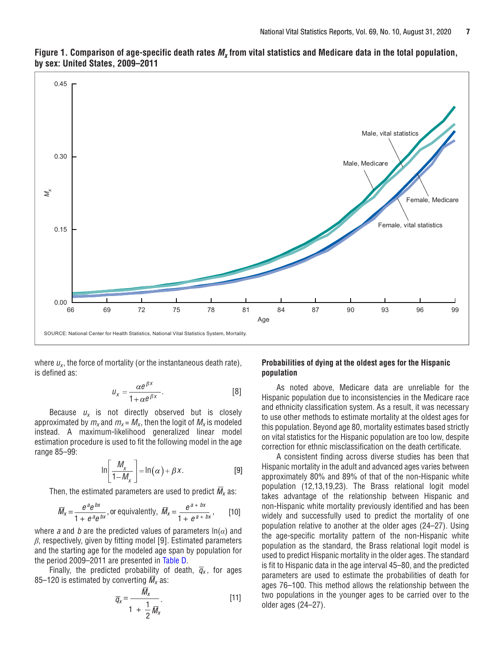

<span id="page-6-0"></span>Figure 1. Comparison of age-specific death rates  $M_x$  from vital statistics and Medicare data in the total population, **by sex: United States, 2009–2011**

where  $u_x$ , the force of mortality (or the instantaneous death rate), is defined as:

$$
u_x = \frac{\alpha e^{\beta x}}{1 + \alpha e^{\beta x}}.
$$
 [8]

Because  $u_x$  is not directly observed but is closely approximated by  $m_x$  and  $m_x = M_x$ , then the logit of  $M_x$  is modeled instead. A maximum-likelihood generalized linear model estimation procedure is used to fit the following model in the age range 85–99:

$$
\ln\left[\frac{M_x}{1-M_x}\right] = \ln(\alpha) + \beta x.
$$
 [9]

Then, the estimated parameters are used to predict  $\overline{M}_x$  as:

$$
\overline{M}_x = \frac{e^{a}e^{bx}}{1 + e^{a}e^{bx}}, \text{ or equivalently, } \overline{M}_x = \frac{e^{a + bx}}{1 + e^{a + bx}}, \qquad [10]
$$

where *a* and *b* are the predicted values of parameters  $ln(a)$  and *β*, respectively, given by fitting model [9]. Estimated parameters and the starting age for the modeled age span by population for the period 2009–2011 are presented in [Table D.](#page-7-0)

Finally, the predicted probability of death,  $\overline{q}_x$ , for ages 85–120 is estimated by converting  $\overline{M}_x$  as:

$$
\overline{q}_x = \frac{M_x}{1 + \frac{1}{2}\overline{M}_x}.
$$
 [11]

# **Probabilities of dying at the oldest ages for the Hispanic population**

As noted above, Medicare data are unreliable for the Hispanic population due to inconsistencies in the Medicare race and ethnicity classification system. As a result, it was necessary to use other methods to estimate mortality at the oldest ages for this population. Beyond age 80, mortality estimates based strictly on vital statistics for the Hispanic population are too low, despite correction for ethnic misclassification on the death certificate.

A consistent finding across diverse studies has been that Hispanic mortality in the adult and advanced ages varies between approximately 80% and 89% of that of the non-Hispanic white population (12,13,19,23). The Brass relational logit model takes advantage of the relationship between Hispanic and non-Hispanic white mortality previously identified and has been widely and successfully used to predict the mortality of one population relative to another at the older ages (24–27). Using the age-specific mortality pattern of the non-Hispanic white population as the standard, the Brass relational logit model is used to predict Hispanic mortality in the older ages. The standard is fit to Hispanic data in the age interval 45–80, and the predicted parameters are used to estimate the probabilities of death for ages 76–100. This method allows the relationship between the two populations in the younger ages to be carried over to the older ages (24–27).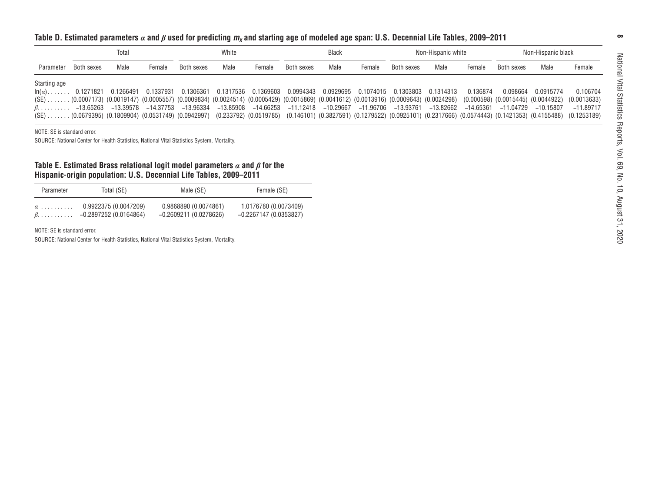<span id="page-7-0"></span>

|                               | Total                  |                                                                                                                                                                                                                             |                        | White                                            |                          | <b>Black</b>                                     |                        | Non-Hispanic white       |                        |                          | Non-Hispanic black     |                         |                                                                                                                                                                                                                  |                          |                                                       |
|-------------------------------|------------------------|-----------------------------------------------------------------------------------------------------------------------------------------------------------------------------------------------------------------------------|------------------------|--------------------------------------------------|--------------------------|--------------------------------------------------|------------------------|--------------------------|------------------------|--------------------------|------------------------|-------------------------|------------------------------------------------------------------------------------------------------------------------------------------------------------------------------------------------------------------|--------------------------|-------------------------------------------------------|
| Parameter                     | Both sexes             | Male                                                                                                                                                                                                                        | Female                 | Both sexes                                       | Male                     | Female                                           | Both sexes             | Male                     | Female                 | Both sexes               | Male                   | Female                  | Both sexes                                                                                                                                                                                                       | Male                     | Female                                                |
| Starting age<br>$\ln(\alpha)$ | 0.1271821<br>–13.65263 | 0.1266491<br>(SE)(0.0007173) (0.0019147) (0.0005557) (0.0009834) (0.0024514) (0.0005429) (0.0015869) (0.0041612) (0.0013916) (0.0009643) (0.0024298)<br>–13.39578<br>$(SE)$ (0.0679395) (0.1809904) (0.0531749) (0.0942997) | 0.1337931<br>–14.37753 | 0.1306361<br>-13.96334                           | 0.1317536<br>$-13.85908$ | 0.1369603<br>-14.66253                           | 0.0994343<br>-11.12418 | 0.0929695<br>$-10.29667$ | 0.1074015<br>–11.96706 | 0.1303803<br>$-13.93761$ | 0.1314313<br>-13.82662 | 0.136874<br>$-14.65361$ | 0.098664<br>$(0.000598)$ $(0.0015445)$ $(0.0044922)$<br>$-11.04729$<br>$(0.233792)$ $(0.0519785)$ $(0.146101)$ $(0.3827591)$ $(0.1279522)$ $(0.0925101)$ $(0.2317666)$ $(0.0574443)$ $(0.1421353)$ $(0.4155488)$ | 0.0915774<br>$-10.15807$ | 0.106704<br>(0.0013633)<br>$-11.89717$<br>(0.1253189) |
| NOTE: SE is standard error.   |                        | SOURCE: National Center for Health Statistics, National Vital Statistics System, Mortality.                                                                                                                                 |                        |                                                  |                          |                                                  |                        |                          |                        |                          |                        |                         |                                                                                                                                                                                                                  |                          |                                                       |
|                               |                        | Table E. Estimated Brass relational logit model parameters $\alpha$ and $\beta$ for the<br>Hispanic-origin population: U.S. Decennial Life Tables, 2009–2011                                                                |                        |                                                  |                          |                                                  |                        |                          |                        |                          |                        |                         |                                                                                                                                                                                                                  |                          |                                                       |
| Parameter                     |                        | Total (SE)                                                                                                                                                                                                                  |                        | Male (SE)                                        |                          | Female (SE)                                      |                        |                          |                        |                          |                        |                         |                                                                                                                                                                                                                  |                          |                                                       |
| $\alpha$<br>$\beta$ .         |                        | 0.9922375 (0.0047209)<br>$-0.2897252(0.0164864)$                                                                                                                                                                            |                        | 0.9868890 (0.0074861)<br>$-0.2609211(0.0278626)$ |                          | 1.0176780 (0.0073409)<br>$-0.2267147(0.0353827)$ |                        |                          |                        |                          |                        |                         |                                                                                                                                                                                                                  |                          |                                                       |
|                               |                        |                                                                                                                                                                                                                             |                        |                                                  |                          |                                                  |                        |                          |                        |                          |                        |                         |                                                                                                                                                                                                                  |                          |                                                       |

| Parameter | Total (SE)                     | Male (SE)              | Female (SE)             |
|-----------|--------------------------------|------------------------|-------------------------|
| $\alpha$  | 0.9922375 (0.0047209)          | 0.9868890 (0.0074861)  | 1.0176780 (0.0073409)   |
|           | $\beta$ -0.2897252 (0.0164864) | -0.2609211 (0.0278626) | $-0.2267147(0.0353827)$ |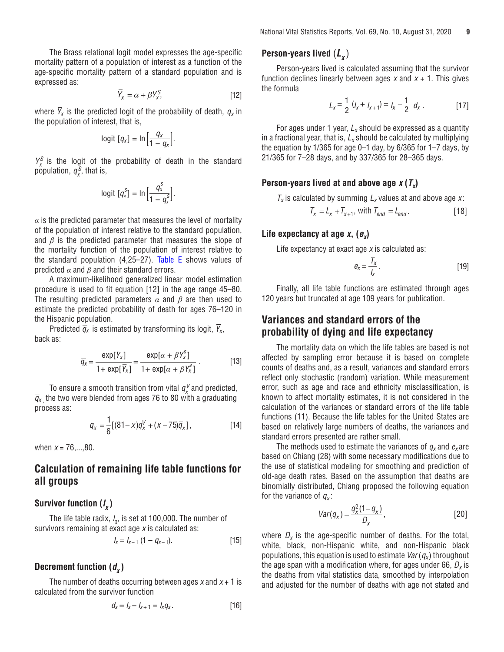<span id="page-8-0"></span>The Brass relational logit model expresses the age-specific mortality pattern of a population of interest as a function of the age-specific mortality pattern of a standard population and is expressed as:

$$
\overline{Y}_x = \alpha + \beta Y_x^S, \tag{12}
$$

where  $\bar{Y}_x$  is the predicted logit of the probability of death,  $q_x$  in the population of interest, that is,

$$
logit [q_x] = ln \left[ \frac{q_x}{1 - q_x} \right].
$$

 $Y_x^S$  is the logit of the probability of death in the standard population,  $q_x^S$ , that is,

$$
logit [q_x^S] = ln \Big[\frac{q_x^S}{1-q_x^S}\Big].
$$

 $\alpha$  is the predicted parameter that measures the level of mortality of the population of interest relative to the standard population, and *β* is the predicted parameter that measures the slope of the mortality function of the population of interest relative to the standard population (4,25–27). [Table E](#page-7-0) shows values of predicted *α* and *β* and their standard errors.

A maximum-likelihood generalized linear model estimation procedure is used to fit equation [12] in the age range 45–80. The resulting predicted parameters *α* and *β* are then used to estimate the predicted probability of death for ages 76–120 in the Hispanic population.

Predicted  $\overline{q}_x$  is estimated by transforming its logit,  $\overline{Y}_x$ , back as:

$$
\overline{q}_x = \frac{\exp[\overline{Y}_x]}{1 + \exp[\overline{Y}_x]} = \frac{\exp[\alpha + \beta Y_x^s]}{1 + \exp[\alpha + \beta Y_x^s]}.
$$
 [13]

To ensure a smooth transition from vital  $q_\chi^\vee$  and predicted,  $\overline{q}_x$ , the two were blended from ages 76 to 80 with a graduating process as:

$$
q_{x} = \frac{1}{6} [(81 - x)q_{x}^{V} + (x - 75)\overline{q}_{x}],
$$
 [14]

when  $x = 76,...,80$ .

# **Calculation of remaining life table functions for all groups**

# **Survivor function (l x )**

The life table radix,  $\mathit{l}_0$ , is set at 100,000. The number of survivors remaining at exact age  $x$  is calculated as:

$$
I_x = I_{x-1} \left(1 - q_{x-1}\right). \tag{15}
$$

# **Decrement function**  $(d<sub>x</sub>)$

The number of deaths occurring between ages  $x$  and  $x + 1$  is calculated from the survivor function

$$
d_x = l_x - l_{x+1} = l_x q_x. \tag{16}
$$

# **Person-years lived**  $(L_x)$

Person-years lived is calculated assuming that the survivor function declines linearly between ages x and  $x + 1$ . This gives the formula

$$
L_x = \frac{1}{2} (I_x + I_{x+1}) = I_x - \frac{1}{2} d_x .
$$
 [17]

For ages under 1 year,  $L_x$  should be expressed as a quantity in a fractional year, that is,  $L_x$  should be calculated by multiplying the equation by 1/365 for age 0–1 day, by 6/365 for 1–7 days, by 21/365 for 7–28 days, and by 337/365 for 28–365 days.

# **Person-years lived at and above age**  $x(T_x)$

 $T_x$  is calculated by summing  $L_x$  values at and above age x:

$$
T_x = L_x + T_{x+1}, \text{ with } T_{end} = L_{end}.
$$
 [18]

# Life expectancy at age  $x$ ,  $(e_x)$

Life expectancy at exact age  $x$  is calculated as:

$$
e_x = \frac{T_x}{I_x} \,. \tag{19}
$$

Finally, all life table functions are estimated through ages 120 years but truncated at age 109 years for publication.

# **Variances and standard errors of the probability of dying and life expectancy**

The mortality data on which the life tables are based is not affected by sampling error because it is based on complete counts of deaths and, as a result, variances and standard errors reflect only stochastic (random) variation. While measurement error, such as age and race and ethnicity misclassification, is known to affect mortality estimates, it is not considered in the calculation of the variances or standard errors of the life table functions (11). Because the life tables for the United States are based on relatively large numbers of deaths, the variances and standard errors presented are rather small.

The methods used to estimate the variances of  $q_x$  and  $e_x$  are based on Chiang (28) with some necessary modifications due to the use of statistical modeling for smoothing and prediction of old-age death rates. Based on the assumption that deaths are binomially distributed, Chiang proposed the following equation for the variance of  $q_x$ :

$$
Var(q_x) = \frac{q_x^2(1-q_x)}{D_x},
$$
 [20]

where  $D_x$  is the age-specific number of deaths. For the total, white, black, non-Hispanic white, and non-Hispanic black populations, this equation is used to estimate  $Var(q_x)$  throughout the age span with a modification where, for ages under 66,  $D_x$  is the deaths from vital statistics data, smoothed by interpolation and adjusted for the number of deaths with age not stated and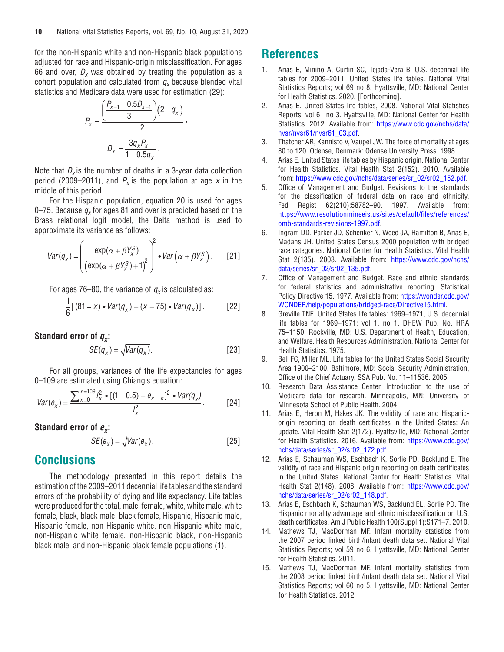<span id="page-9-0"></span>for the non-Hispanic white and non-Hispanic black populations adjusted for race and Hispanic-origin misclassification. For ages 66 and over,  $D_x$  was obtained by treating the population as a cohort population and calculated from  $q_x$  because blended vital statistics and Medicare data were used for estimation (29):

$$
P_x = \frac{\left(\frac{P_{x-1} - 0.5D_{x-1}}{3}\right)(2 - q_x)}{2},
$$

$$
D_x = \frac{3q_x P_x}{1 - 0.5q_x}.
$$

Note that  $D_x$  is the number of deaths in a 3-year data collection period (2009–2011), and  $P_x$  is the population at age x in the middle of this period.

For the Hispanic population, equation 20 is used for ages 0–75. Because  $q_x$  for ages 81 and over is predicted based on the Brass relational logit model, the Delta method is used to approximate its variance as follows:

$$
Var(\overline{q}_x) = \left(\frac{\exp(\alpha + \beta Y_x^S)}{(\exp(\alpha + \beta Y_x^S) + 1)^2}\right)^2 \cdot Var(\alpha + \beta Y_x^S).
$$
 [21]

For ages 76–80, the variance of  $q_x$  is calculated as:

$$
\frac{1}{6}[(81-x)\bullet Var(q_x)+(x-75)\bullet Var(\overline{q}_x)].\qquad [22]
$$

# **Standard error of**  $q_x$ **:**

$$
SE(q_x) = \sqrt{Var(q_x)}.
$$
 [23]

For all groups, variances of the life expectancies for ages 0–109 are estimated using Chiang's equation:

$$
Var(e_x) = \frac{\sum_{x=0}^{x=109} l_x^2 \bullet [(1-0.5) + e_{x+n}]^2 \bullet Var(q_x)}{l_x^2}.
$$
 [24]

**Standard error of**  $e_{r}$ **:** 

$$
SE(e_x) = \sqrt{Var(e_x)}.
$$
 [25]

# **Conclusions**

The methodology presented in this report details the estimation of the 2009–2011 decennial life tables and the standard errors of the probability of dying and life expectancy. Life tables were produced for the total, male, female, white, white male, white female, black, black male, black female, Hispanic, Hispanic male, Hispanic female, non-Hispanic white, non-Hispanic white male, non-Hispanic white female, non-Hispanic black, non-Hispanic black male, and non-Hispanic black female populations (1).

# **References**

- 1. Arias E, Miniño A, Curtin SC, Tejada-Vera B. U.S. decennial life tables for 2009–2011, United States life tables. National Vital Statistics Reports; vol 69 no 8. Hyattsville, MD: National Center for Health Statistics. 2020. [Forthcoming].
- 2. Arias E. United States life tables, 2008. National Vital Statistics Reports; vol 61 no 3. Hyattsville, MD: National Center for Health Statistics. 2012. Available from: [https://www.cdc.gov/nchs/data/](https://www.cdc.gov/nchs/data/nvsr/nvsr61/nvsr61_03.pdf) [nvsr/nvsr61/nvsr61\\_03.pdf.](https://www.cdc.gov/nchs/data/nvsr/nvsr61/nvsr61_03.pdf)
- 3. Thatcher AR, Kannisto V, Vaupel JW. The force of mortality at ages 80 to 120. Odense, Denmark: Odense University Press. 1998.
- 4. Arias E. United States life tables by Hispanic origin. National Center for Health Statistics. Vital Health Stat 2(152). 2010. Available from: [https://www.cdc.gov/nchs/data/series/sr\\_02/sr02\\_152.pdf](https://www.cdc.gov/nchs/data/series/sr_02/sr02_152.pdf).
- 5. Office of Management and Budget. Revisions to the standards for the classification of federal data on race and ethnicity. Fed Regist 62(210):58782–90. 1997. Available from: [https://www.resolutionmineeis.us/sites/default/files/references/](https://www.resolutionmineeis.us/sites/default/files/references/omb-standards-revisions-1997.pdf) [omb-standards-revisions-1997.pdf.](https://www.resolutionmineeis.us/sites/default/files/references/omb-standards-revisions-1997.pdf)
- 6. Ingram DD, Parker JD, Schenker N, Weed JA, Hamilton B, Arias E, Madans JH. United States Census 2000 population with bridged race categories. National Center for Health Statistics. Vital Health Stat 2(135). 2003. Available from: [https://www.cdc.gov/nchs/](https://www.cdc.gov/nchs/data/series/sr_02/sr02_135.pdf) [data/series/sr\\_02/sr02\\_135.pdf.](https://www.cdc.gov/nchs/data/series/sr_02/sr02_135.pdf)
- 7. Office of Management and Budget. Race and ethnic standards for federal statistics and administrative reporting. Statistical Policy Directive 15. 1977. Available from: [https://wonder.cdc.gov/](https://wonder.cdc.gov/WONDER/help/populations/bridged-race/Directive15.html) [WONDER/help/populations/bridged-race/Directive15.html.](https://wonder.cdc.gov/WONDER/help/populations/bridged-race/Directive15.html)
- 8. Greville TNE. United States life tables: 1969–1971, U.S. decennial life tables for 1969–1971; vol 1, no 1. DHEW Pub. No. HRA 75–1150. Rockville, MD: U.S. Department of Health, Education, and Welfare. Health Resources Administration. National Center for Health Statistics. 1975.
- 9. Bell FC, Miller ML. Life tables for the United States Social Security Area 1900–2100. Baltimore, MD: Social Security Administration, Office of the Chief Actuary. SSA Pub. No. 11–11536. 2005.
- 10. Research Data Assistance Center. Introduction to the use of Medicare data for research. Minneapolis, MN: University of Minnesota School of Public Health. 2004.
- 11. Arias E, Heron M, Hakes JK. The validity of race and Hispanicorigin reporting on death certificates in the United States: An update. Vital Health Stat 2(172). Hyattsville, MD: National Center for Health Statistics. 2016. Available from: [https://www.cdc.gov/](https://www.cdc.gov/nchs/data/series/sr_02/sr02_172.pdf) [nchs/data/series/sr\\_02/sr02\\_172.pdf](https://www.cdc.gov/nchs/data/series/sr_02/sr02_172.pdf).
- 12. Arias E, Schauman WS, Eschbach K, Sorlie PD, Backlund E. The validity of race and Hispanic origin reporting on death certificates in the United States. National Center for Health Statistics. Vital Health Stat 2(148). 2008. Available from: [https://www.cdc.gov/](https://www.cdc.gov/nchs/data/series/sr_02/sr02_148.pdf) [nchs/data/series/sr\\_02/sr02\\_148.pdf](https://www.cdc.gov/nchs/data/series/sr_02/sr02_148.pdf).
- 13. Arias E, Eschbach K, Schauman WS, Backlund EL, Sorlie PD. The Hispanic mortality advantage and ethnic misclassification on U.S. death certificates. Am J Public Health 100(Suppl 1):S171–7. 2010.
- 14. Mathews TJ, MacDorman MF. Infant mortality statistics from the 2007 period linked birth/infant death data set. National Vital Statistics Reports; vol 59 no 6. Hyattsville, MD: National Center for Health Statistics. 2011.
- 15. Mathews TJ, MacDorman MF. Infant mortality statistics from the 2008 period linked birth/infant death data set. National Vital Statistics Reports; vol 60 no 5. Hyattsville, MD: National Center for Health Statistics. 2012.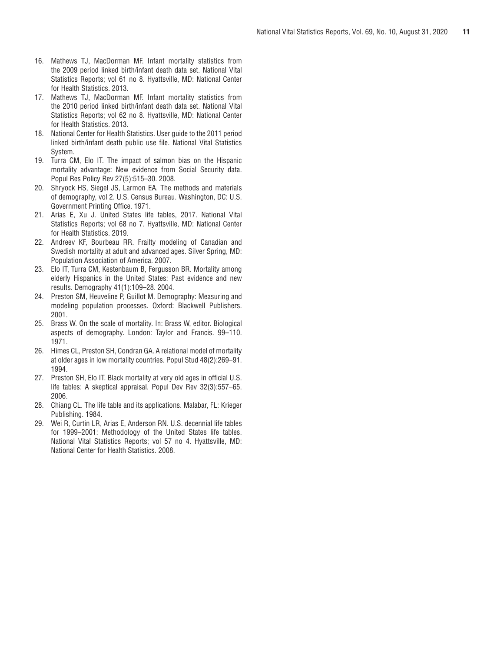- 16. Mathews TJ, MacDorman MF. Infant mortality statistics from the 2009 period linked birth/infant death data set. National Vital Statistics Reports; vol 61 no 8. Hyattsville, MD: National Center for Health Statistics. 2013.
- 17. Mathews TJ, MacDorman MF. Infant mortality statistics from the 2010 period linked birth/infant death data set. National Vital Statistics Reports; vol 62 no 8. Hyattsville, MD: National Center for Health Statistics. 2013.
- 18. National Center for Health Statistics. User guide to the 2011 period linked birth/infant death public use file. National Vital Statistics System.
- 19. Turra CM, Elo IT. The impact of salmon bias on the Hispanic mortality advantage: New evidence from Social Security data. Popul Res Policy Rev 27(5):515–30. 2008.
- 20. Shryock HS, Siegel JS, Larmon EA. The methods and materials of demography, vol 2. U.S. Census Bureau. Washington, DC: U.S. Government Printing Office. 1971.
- 21. Arias E, Xu J. United States life tables, 2017. National Vital Statistics Reports; vol 68 no 7. Hyattsville, MD: National Center for Health Statistics. 2019.
- 22. Andreev KF, Bourbeau RR. Frailty modeling of Canadian and Swedish mortality at adult and advanced ages. Silver Spring, MD: Population Association of America. 2007.
- 23. Elo IT, Turra CM, Kestenbaum B, Fergusson BR. Mortality among elderly Hispanics in the United States: Past evidence and new results. Demography 41(1):109–28. 2004.
- 24. Preston SM, Heuveline P, Guillot M. Demography: Measuring and modeling population processes. Oxford: Blackwell Publishers. 2001.
- 25. Brass W. On the scale of mortality. In: Brass W, editor. Biological aspects of demography. London: Taylor and Francis. 99–110. 1971.
- 26. Himes CL, Preston SH, Condran GA. A relational model of mortality at older ages in low mortality countries. Popul Stud 48(2):269–91. 1994.
- 27. Preston SH, Elo IT. Black mortality at very old ages in official U.S. life tables: A skeptical appraisal. Popul Dev Rev 32(3):557–65. 2006.
- 28. Chiang CL. The life table and its applications. Malabar, FL: Krieger Publishing. 1984.
- 29. Wei R, Curtin LR, Arias E, Anderson RN. U.S. decennial life tables for 1999–2001: Methodology of the United States life tables. National Vital Statistics Reports; vol 57 no 4. Hyattsville, MD: National Center for Health Statistics. 2008.